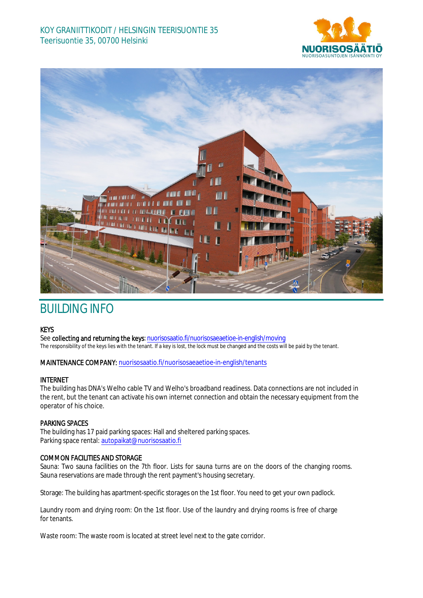# KOY GRANIITTIKODIT / HELSINGIN TEERISUONTIE 35 Teerisuontie 35, 00700 Helsinki





# BUILDING INFO

# **KEYS**

See collecting and returning the keys: nuorisosaatio.fi/nuorisosaeaetioe-in-english/moving The responsibility of the keys lies with the tenant. If a key is lost, the lock must be changed and the costs will be paid by the tenant.

#### MAINTENANCE COMPANY: nuorisosaatio.fi/nuorisosaeaetioe-in-english/tenants

# INTERNET

The building has DNA's Welho cable TV and Welho's broadband readiness. Data connections are not included in the rent, but the tenant can activate his own internet connection and obtain the necessary equipment from the operator of his choice.

#### PARKING SPACES

The building has 17 paid parking spaces: Hall and sheltered parking spaces. Parking space rental: autopaikat@nuorisosaatio.fi

### COMMON FACILITIES AND STORAGE

Sauna: Two sauna facilities on the 7th floor. Lists for sauna turns are on the doors of the changing rooms. Sauna reservations are made through the rent payment's housing secretary.

Storage: The building has apartment-specific storages on the 1st floor. You need to get your own padlock.

Laundry room and drying room: On the 1st floor. Use of the laundry and drying rooms is free of charge for tenants.

Waste room: The waste room is located at street level next to the gate corridor.